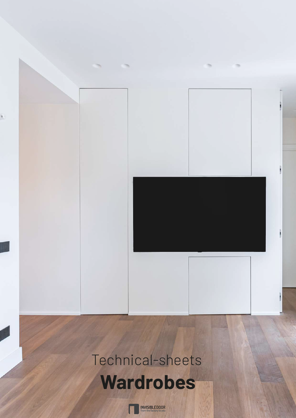# Technical-sheets **Wardrobes**

**INVISIBLEDOOR**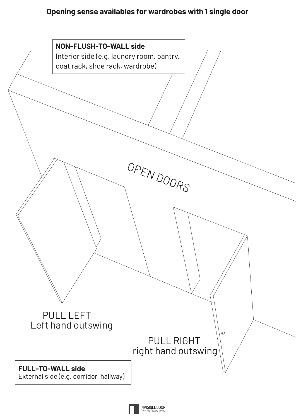## **Opening sense availables for wardrobes with 1 single door**



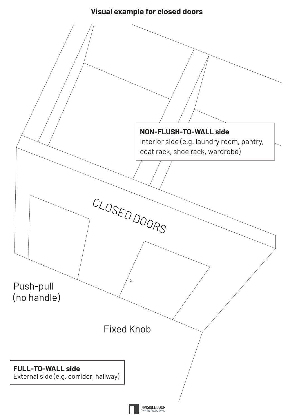# **Visual example for closed doors**

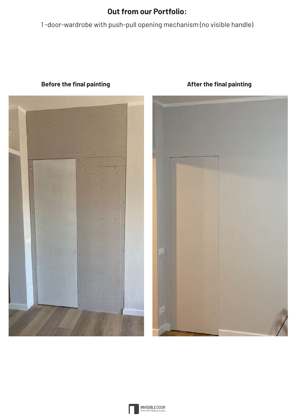# **Out from our Portfolio:**

1 -door-wardrobe with push-pull opening mechanism (no visible handle)



#### **Before the final painting** <br> **Before the final painting**



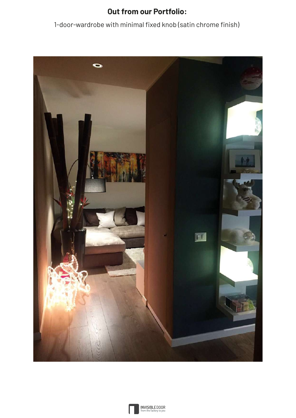# **Out from our Portfolio:**

1-door-wardrobe with minimal fixed knob (satin chrome finish)



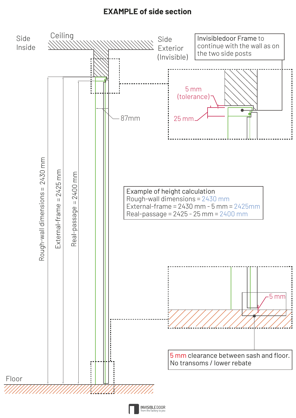## **EXAMPLE of side section**

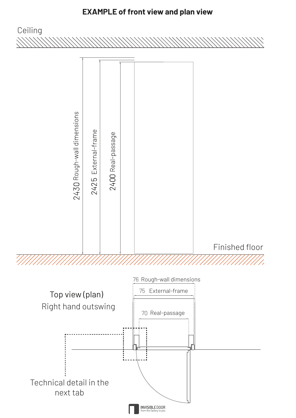# **EXAMPLE of front view and plan view**

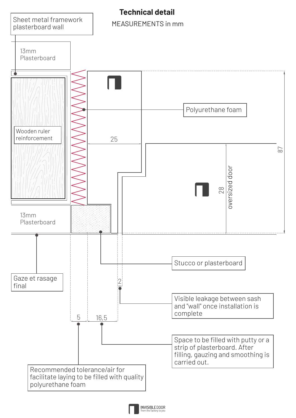

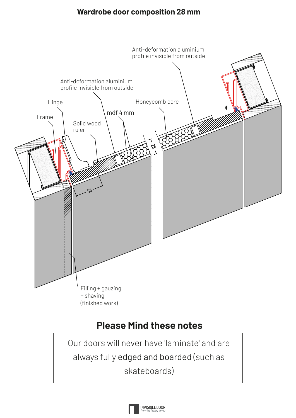### **Wardrobe door composition 28 mm**



# **Please Mind these notes**

Our doors will never have 'laminate' and are always fully edged and boarded (such as skateboards)